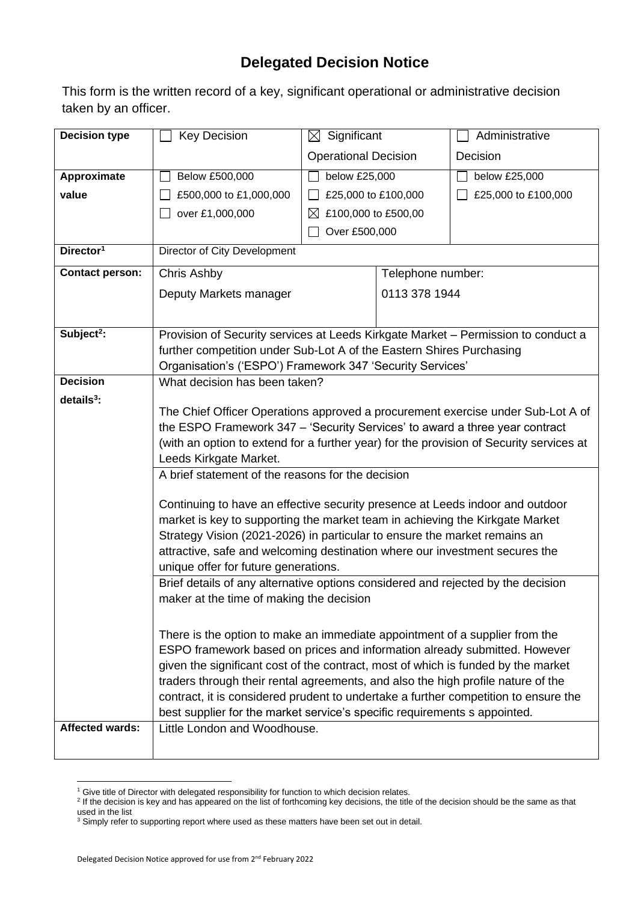## **Delegated Decision Notice**

This form is the written record of a key, significant operational or administrative decision taken by an officer.

| <b>Decision type</b>            | <b>Key Decision</b>                                                                                                                                                     | $\boxtimes$ Significant          |                   | Administrative      |
|---------------------------------|-------------------------------------------------------------------------------------------------------------------------------------------------------------------------|----------------------------------|-------------------|---------------------|
|                                 |                                                                                                                                                                         | <b>Operational Decision</b>      |                   | Decision            |
| Approximate                     | Below £500,000                                                                                                                                                          | below £25,000                    |                   | below £25,000       |
| value                           | £500,000 to £1,000,000                                                                                                                                                  | £25,000 to £100,000              |                   | £25,000 to £100,000 |
|                                 | over £1,000,000                                                                                                                                                         | £100,000 to £500,00<br>$\bowtie$ |                   |                     |
|                                 |                                                                                                                                                                         | Over £500,000                    |                   |                     |
| Director <sup>1</sup>           | Director of City Development                                                                                                                                            |                                  |                   |                     |
| <b>Contact person:</b>          | Chris Ashby                                                                                                                                                             |                                  | Telephone number: |                     |
|                                 | Deputy Markets manager                                                                                                                                                  |                                  | 0113 378 1944     |                     |
|                                 |                                                                                                                                                                         |                                  |                   |                     |
| Subject <sup>2</sup> :          | Provision of Security services at Leeds Kirkgate Market - Permission to conduct a                                                                                       |                                  |                   |                     |
|                                 | further competition under Sub-Lot A of the Eastern Shires Purchasing                                                                                                    |                                  |                   |                     |
|                                 | Organisation's ('ESPO') Framework 347 'Security Services'                                                                                                               |                                  |                   |                     |
| <b>Decision</b><br>$details3$ : | What decision has been taken?                                                                                                                                           |                                  |                   |                     |
|                                 | The Chief Officer Operations approved a procurement exercise under Sub-Lot A of                                                                                         |                                  |                   |                     |
|                                 | the ESPO Framework 347 - 'Security Services' to award a three year contract                                                                                             |                                  |                   |                     |
|                                 | (with an option to extend for a further year) for the provision of Security services at                                                                                 |                                  |                   |                     |
|                                 | Leeds Kirkgate Market.                                                                                                                                                  |                                  |                   |                     |
|                                 | A brief statement of the reasons for the decision                                                                                                                       |                                  |                   |                     |
|                                 | Continuing to have an effective security presence at Leeds indoor and outdoor                                                                                           |                                  |                   |                     |
|                                 | market is key to supporting the market team in achieving the Kirkgate Market                                                                                            |                                  |                   |                     |
|                                 | Strategy Vision (2021-2026) in particular to ensure the market remains an                                                                                               |                                  |                   |                     |
|                                 | attractive, safe and welcoming destination where our investment secures the                                                                                             |                                  |                   |                     |
|                                 | unique offer for future generations.<br>Brief details of any alternative options considered and rejected by the decision                                                |                                  |                   |                     |
|                                 | maker at the time of making the decision                                                                                                                                |                                  |                   |                     |
|                                 |                                                                                                                                                                         |                                  |                   |                     |
|                                 | There is the option to make an immediate appointment of a supplier from the                                                                                             |                                  |                   |                     |
|                                 | ESPO framework based on prices and information already submitted. However                                                                                               |                                  |                   |                     |
|                                 | given the significant cost of the contract, most of which is funded by the market                                                                                       |                                  |                   |                     |
|                                 | traders through their rental agreements, and also the high profile nature of the<br>contract, it is considered prudent to undertake a further competition to ensure the |                                  |                   |                     |
|                                 | best supplier for the market service's specific requirements s appointed.                                                                                               |                                  |                   |                     |
| <b>Affected wards:</b>          | Little London and Woodhouse.                                                                                                                                            |                                  |                   |                     |
|                                 |                                                                                                                                                                         |                                  |                   |                     |

<sup>&</sup>lt;sup>1</sup> Give title of Director with delegated responsibility for function to which decision relates.<br><sup>2</sup> If the decision is key and has appeared on the list of forthcoming key decisions, the title of the decision should be the used in the list

 $3$  Simply refer to supporting report where used as these matters have been set out in detail.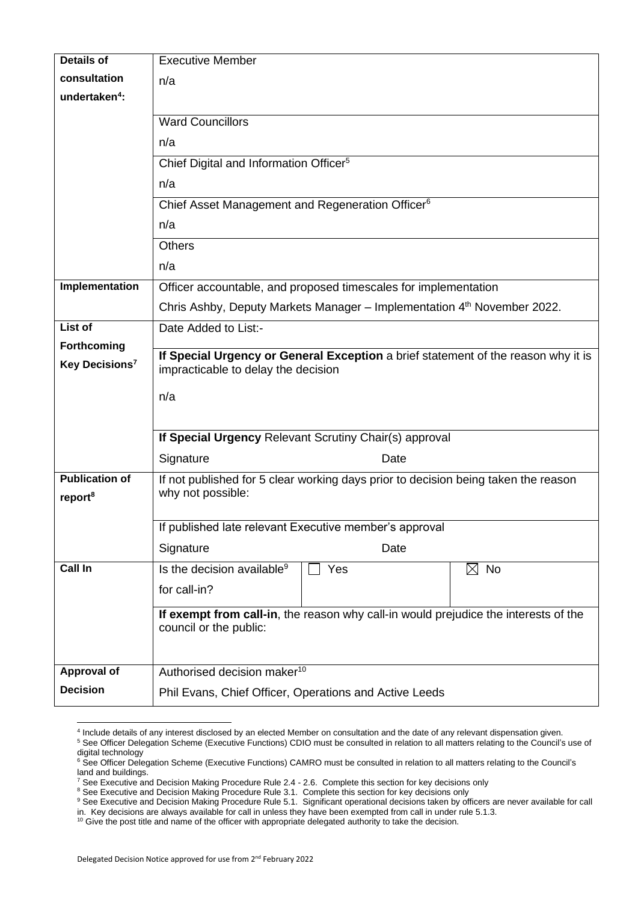| <b>Details of</b>          | <b>Executive Member</b>                                                                                       |  |  |  |  |
|----------------------------|---------------------------------------------------------------------------------------------------------------|--|--|--|--|
| consultation               | n/a                                                                                                           |  |  |  |  |
| undertaken <sup>4</sup> :  |                                                                                                               |  |  |  |  |
|                            | <b>Ward Councillors</b>                                                                                       |  |  |  |  |
|                            | n/a                                                                                                           |  |  |  |  |
|                            | Chief Digital and Information Officer <sup>5</sup>                                                            |  |  |  |  |
|                            | n/a                                                                                                           |  |  |  |  |
|                            | Chief Asset Management and Regeneration Officer <sup>6</sup>                                                  |  |  |  |  |
|                            | n/a                                                                                                           |  |  |  |  |
|                            | <b>Others</b>                                                                                                 |  |  |  |  |
|                            | n/a                                                                                                           |  |  |  |  |
| Implementation             | Officer accountable, and proposed timescales for implementation                                               |  |  |  |  |
|                            | Chris Ashby, Deputy Markets Manager - Implementation 4th November 2022.                                       |  |  |  |  |
| List of                    | Date Added to List:-                                                                                          |  |  |  |  |
| Forthcoming                | If Special Urgency or General Exception a brief statement of the reason why it is                             |  |  |  |  |
| Key Decisions <sup>7</sup> | impracticable to delay the decision                                                                           |  |  |  |  |
|                            | n/a                                                                                                           |  |  |  |  |
|                            |                                                                                                               |  |  |  |  |
|                            | If Special Urgency Relevant Scrutiny Chair(s) approval                                                        |  |  |  |  |
|                            | Signature<br>Date                                                                                             |  |  |  |  |
| <b>Publication of</b>      | If not published for 5 clear working days prior to decision being taken the reason                            |  |  |  |  |
| report <sup>8</sup>        | why not possible:                                                                                             |  |  |  |  |
|                            | If published late relevant Executive member's approval                                                        |  |  |  |  |
|                            | Signature<br>Date                                                                                             |  |  |  |  |
| <b>Call In</b>             | Is the decision available <sup>9</sup><br>$\boxtimes$ No<br>Yes                                               |  |  |  |  |
|                            | for call-in?                                                                                                  |  |  |  |  |
|                            |                                                                                                               |  |  |  |  |
|                            | If exempt from call-in, the reason why call-in would prejudice the interests of the<br>council or the public: |  |  |  |  |
|                            |                                                                                                               |  |  |  |  |
| <b>Approval of</b>         | Authorised decision maker <sup>10</sup>                                                                       |  |  |  |  |
| <b>Decision</b>            | Phil Evans, Chief Officer, Operations and Active Leeds                                                        |  |  |  |  |

<sup>4</sup> Include details of any interest disclosed by an elected Member on consultation and the date of any relevant dispensation given.

<sup>&</sup>lt;sup>5</sup> See Officer Delegation Scheme (Executive Functions) CDIO must be consulted in relation to all matters relating to the Council's use of digital technology

<sup>&</sup>lt;sup>6</sup> See Officer Delegation Scheme (Executive Functions) CAMRO must be consulted in relation to all matters relating to the Council's land and buildings.

 $^7$  See Executive and Decision Making Procedure Rule 2.4 - 2.6. Complete this section for key decisions only

<sup>&</sup>lt;sup>8</sup> See Executive and Decision Making Procedure Rule 3.1. Complete this section for key decisions only

<sup>&</sup>lt;sup>9</sup> See Executive and Decision Making Procedure Rule 5.1. Significant operational decisions taken by officers are never available for call

in. Key decisions are always available for call in unless they have been exempted from call in under rule 5.1.3.

 $10$  Give the post title and name of the officer with appropriate delegated authority to take the decision.